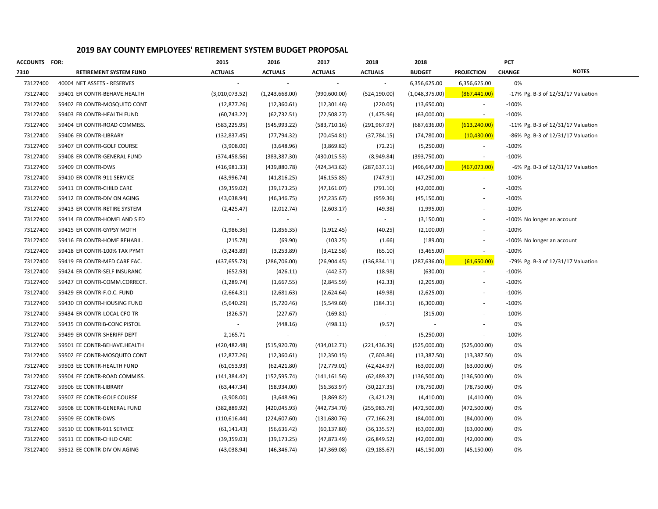| <b>ACCOUNTS FOR:</b> |                               | 2015           | 2016           | 2017                     | 2018           | 2018           |                   | PCT           |                                         |
|----------------------|-------------------------------|----------------|----------------|--------------------------|----------------|----------------|-------------------|---------------|-----------------------------------------|
| 7310                 | <b>RETIREMENT SYSTEM FUND</b> | <b>ACTUALS</b> | <b>ACTUALS</b> | <b>ACTUALS</b>           | <b>ACTUALS</b> | <b>BUDGET</b>  | <b>PROJECTION</b> | <b>CHANGE</b> | <b>NOTES</b>                            |
| 73127400             | 40004 NET ASSETS - RESERVES   |                | $\sim$         | $\sim$                   |                | 6,356,625.00   | 6,356,625.00      | 0%            |                                         |
| 73127400             | 59401 ER CONTR-BEHAVE.HEALTH  | (3,010,073.52) | (1,243,668.00) | (990,600.00)             | (524, 190.00)  | (1,048,375.00) | (867, 441.00)     |               | $-17\%$ Pg. B-3 of $12/31/17$ Valuation |
| 73127400             | 59402 ER CONTR-MOSQUITO CONT  | (12, 877.26)   | (12,360.61)    | (12,301.46)              | (220.05)       | (13,650.00)    |                   | $-100%$       |                                         |
| 73127400             | 59403 ER CONTR-HEALTH FUND    | (60, 743.22)   | (62, 732.51)   | (72,508.27)              | (1,475.96)     | (63,000.00)    | $\sim$            | $-100%$       |                                         |
| 73127400             | 59404 ER CONTR-ROAD COMMISS.  | (583, 225.95)  | (545, 993.22)  | (583, 710.16)            | (291,967.97)   | (687, 636.00)  | (613, 240.00)     |               | $-11\%$ Pg. B-3 of $12/31/17$ Valuation |
| 73127400             | 59406 ER CONTR-LIBRARY        | (132, 837.45)  | (77, 794.32)   | (70, 454.81)             | (37, 784.15)   | (74,780.00)    | (10, 430.00)      |               | $-86\%$ Pg. B-3 of $12/31/17$ Valuation |
| 73127400             | 59407 ER CONTR-GOLF COURSE    | (3,908.00)     | (3,648.96)     | (3,869.82)               | (72.21)        | (5,250.00)     |                   | $-100%$       |                                         |
| 73127400             | 59408 ER CONTR-GENERAL FUND   | (374, 458.56)  | (383, 387.30)  | (430, 015.53)            | (8,949.84)     | (393,750.00)   | $\sim$            | $-100%$       |                                         |
| 73127400             | 59409 ER CONTR-DWS            | (416, 981.33)  | (439, 880.78)  | (424, 343.62)            | (287, 637.11)  | (496, 647.00)  | (467,073.00)      |               | -6% Pg. B-3 of 12/31/17 Valuation       |
| 73127400             | 59410 ER CONTR-911 SERVICE    | (43,996.74)    | (41, 816.25)   | (46, 155.85)             | (747.91)       | (47, 250.00)   |                   | $-100%$       |                                         |
| 73127400             | 59411 ER CONTR-CHILD CARE     | (39, 359.02)   | (39, 173.25)   | (47, 161.07)             | (791.10)       | (42,000.00)    | $\sim$            | $-100%$       |                                         |
| 73127400             | 59412 ER CONTR-DIV ON AGING   | (43,038.94)    | (46, 346.75)   | (47, 235.67)             | (959.36)       | (45, 150.00)   |                   | $-100%$       |                                         |
| 73127400             | 59413 ER CONTR-RETIRE SYSTEM  | (2,425.47)     | (2,012.74)     | (2,603.17)               | (49.38)        | (1,995.00)     |                   | $-100%$       |                                         |
| 73127400             | 59414 ER CONTR-HOMELAND S FD  |                |                |                          |                | (3, 150.00)    |                   |               | -100% No longer an account              |
| 73127400             | 59415 ER CONTR-GYPSY MOTH     | (1,986.36)     | (1,856.35)     | (1,912.45)               | (40.25)        | (2,100.00)     |                   | $-100%$       |                                         |
| 73127400             | 59416 ER CONTR-HOME REHABIL.  | (215.78)       | (69.90)        | (103.25)                 | (1.66)         | (189.00)       |                   |               | -100% No longer an account              |
| 73127400             | 59418 ER CONTR-100% TAX PYMT  | (3, 243.89)    | (3,253.89)     | (3,412.58)               | (65.10)        | (3,465.00)     | $\sim$            | $-100%$       |                                         |
| 73127400             | 59419 ER CONTR-MED CARE FAC.  | (437, 655.73)  | (286, 706.00)  | (26,904.45)              | (136, 834.11)  | (287, 636.00)  | (61,650.00)       |               | -79% Pg. B-3 of 12/31/17 Valuation      |
| 73127400             | 59424 ER CONTR-SELF INSURANC  | (652.93)       | (426.11)       | (442.37)                 | (18.98)        | (630.00)       | $\sim$            | $-100%$       |                                         |
| 73127400             | 59427 ER CONTR-COMM.CORRECT.  | (1, 289.74)    | (1,667.55)     | (2,845.59)               | (42.33)        | (2,205.00)     |                   | $-100%$       |                                         |
| 73127400             | 59429 ER CONTR-F.O.C. FUND    | (2,664.31)     | (2,681.63)     | (2,624.64)               | (49.98)        | (2,625.00)     |                   | $-100%$       |                                         |
| 73127400             | 59430 ER CONTR-HOUSING FUND   | (5,640.29)     | (5,720.46)     | (5,549.60)               | (184.31)       | (6,300.00)     |                   | $-100%$       |                                         |
| 73127400             | 59434 ER CONTR-LOCAL CFO TR   | (326.57)       | (227.67)       | (169.81)                 |                | (315.00)       |                   | $-100%$       |                                         |
| 73127400             | 59435 ER CONTRIB-CONC PISTOL  |                | (448.16)       | (498.11)                 | (9.57)         |                |                   | 0%            |                                         |
| 73127400             | 59499 ER CONTR-SHERIFF DEPT   | 2,165.71       |                | $\overline{\phantom{a}}$ |                | (5,250.00)     |                   | $-100%$       |                                         |
| 73127400             | 59501 EE CONTR-BEHAVE.HEALTH  | (420, 482.48)  | (515, 920.70)  | (434, 012.71)            | (221,436.39)   | (525,000.00)   | (525,000.00)      | 0%            |                                         |
| 73127400             | 59502 EE CONTR-MOSQUITO CONT  | (12, 877.26)   | (12,360.61)    | (12,350.15)              | (7,603.86)     | (13, 387.50)   | (13, 387.50)      | 0%            |                                         |
| 73127400             | 59503 EE CONTR-HEALTH FUND    | (61,053.93)    | (62, 421.80)   | (72, 779.01)             | (42, 424.97)   | (63,000.00)    | (63,000.00)       | 0%            |                                         |
| 73127400             | 59504 EE CONTR-ROAD COMMISS.  | (141, 384.42)  | (152, 595.74)  | (141, 161.56)            | (62, 489.37)   | (136,500.00)   | (136,500.00)      | 0%            |                                         |
| 73127400             | 59506 EE CONTR-LIBRARY        | (63, 447.34)   | (58,934.00)    | (56, 363.97)             | (30, 227.35)   | (78, 750.00)   | (78, 750.00)      | 0%            |                                         |
| 73127400             | 59507 EE CONTR-GOLF COURSE    | (3,908.00)     | (3,648.96)     | (3,869.82)               | (3,421.23)     | (4,410.00)     | (4,410.00)        | 0%            |                                         |
| 73127400             | 59508 EE CONTR-GENERAL FUND   | (382, 889.92)  | (420, 045.93)  | (442, 734.70)            | (255,983.79)   | (472,500.00)   | (472,500.00)      | 0%            |                                         |
| 73127400             | 59509 EE CONTR-DWS            | (110, 616.44)  | (224, 607.60)  | (131,680.76)             | (77, 166.23)   | (84,000.00)    | (84,000.00)       | 0%            |                                         |
| 73127400             | 59510 EE CONTR-911 SERVICE    | (61, 141.43)   | (56, 636.42)   | (60, 137.80)             | (36, 135.57)   | (63,000.00)    | (63,000.00)       | 0%            |                                         |
| 73127400             | 59511 EE CONTR-CHILD CARE     | (39, 359.03)   | (39, 173.25)   | (47, 873.49)             | (26, 849.52)   | (42,000.00)    | (42,000.00)       | 0%            |                                         |
| 73127400             | 59512 EE CONTR-DIV ON AGING   | (43,038.94)    | (46, 346.74)   | (47, 369.08)             | (29, 185.67)   | (45, 150.00)   | (45, 150.00)      | 0%            |                                         |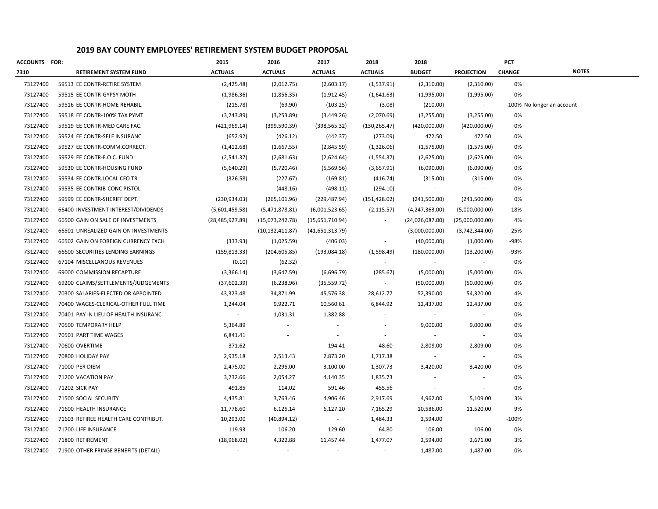| <b>ACCOUNTS FOR:</b> |                                      | 2015              | 2016              | 2017            | 2018           | 2018            |                          | PCT           |                            |
|----------------------|--------------------------------------|-------------------|-------------------|-----------------|----------------|-----------------|--------------------------|---------------|----------------------------|
| 7310                 | <b>RETIREMENT SYSTEM FUND</b>        | <b>ACTUALS</b>    | <b>ACTUALS</b>    | <b>ACTUALS</b>  | <b>ACTUALS</b> | <b>BUDGET</b>   | <b>PROJECTION</b>        | <b>CHANGE</b> | <b>NOTES</b>               |
| 73127400             | 59513 EE CONTR-RETIRE SYSTEM         | (2,425.48)        | (2,012.75)        | (2,603.17)      | (1,537.91)     | (2,310.00)      | (2,310.00)               | 0%            |                            |
| 73127400             | 59515 EE CONTR-GYPSY MOTH            | (1,986.36)        | (1,856.35)        | (1,912.45)      | (1,641.63)     | (1,995.00)      | (1,995.00)               | 0%            |                            |
| 73127400             | 59516 EE CONTR-HOME REHABIL.         | (215.78)          | (69.90)           | (103.25)        | (3.08)         | (210.00)        | $\sim$                   |               | -100% No longer an account |
| 73127400             | 59518 EE CONTR-100% TAX PYMT         | (3, 243.89)       | (3,253.89)        | (3,449.26)      | (2,070.69)     | (3,255.00)      | (3,255.00)               | 0%            |                            |
| 73127400             | 59519 EE CONTR-MED CARE FAC.         | (421, 969.14)     | (399, 590.39)     | (398, 565.32)   | (130, 265.47)  | (420,000.00)    | (420,000.00)             | 0%            |                            |
| 73127400             | 59524 EE CONTR-SELF INSURANC         | (652.92)          | (426.12)          | (442.37)        | (273.09)       | 472.50          | 472.50                   | 0%            |                            |
| 73127400             | 59527 EE CONTR-COMM.CORRECT.         | (1,412.68)        | (1,667.55)        | (2,845.59)      | (1,326.06)     | (1,575.00)      | (1,575.00)               | 0%            |                            |
| 73127400             | 59529 EE CONTR-F.O.C. FUND           | (2,541.37)        | (2,681.63)        | (2,624.64)      | (1,554.37)     | (2,625.00)      | (2,625.00)               | 0%            |                            |
| 73127400             | 59530 EE CONTR-HOUSING FUND          | (5,640.29)        | (5,720.46)        | (5,569.56)      | (3,657.91)     | (6,090.00)      | (6,090.00)               | 0%            |                            |
| 73127400             | 59534 EE CONTR.LOCAL CFO TR          | (326.58)          | (227.67)          | (169.81)        | (416.74)       | (315.00)        | (315.00)                 | 0%            |                            |
| 73127400             | 59535 EE CONTRIB-CONC PISTOL         | $\sim$            | (448.16)          | (498.11)        | (294.10)       | $\sim$          | $\sim$                   | 0%            |                            |
| 73127400             | 59599 EE CONTR-SHERIFF DEPT.         | (230, 934.03)     | (265, 101.96)     | (229, 487.94)   | (151, 428.02)  | (241,500.00)    | (241,500.00)             | 0%            |                            |
| 73127400             | 66400 INVESTMENT INTEREST/DIVIDENDS  | (5,601,459.58)    | (5,471,878.81)    | (6,001,523.65)  | (2, 115.57)    | (4,247,363.00)  | (5,000,000.00)           | 18%           |                            |
| 73127400             | 66500 GAIN ON SALE OF INVESTMENTS    | (28, 485, 927.89) | (15,073,242.78)   | (15,651,710.94) | $\sim$         | (24,026,087.00) | (25,000,000.00)          | 4%            |                            |
| 73127400             | 66501 UNREALIZED GAIN ON INVESTMENTS | $\sim$            | (10, 132, 411.87) | (41,651,313.79) |                | (3,000,000.00)  | (3,742,344.00)           | 25%           |                            |
| 73127400             | 66502 GAIN ON FOREIGN CURRENCY EXCH  | (333.93)          | (1,025.59)        | (406.03)        |                | (40,000.00)     | (1,000.00)               | -98%          |                            |
| 73127400             | 66600 SECURITIES LENDING EARNINGS    | (159, 813.33)     | (204, 605.85)     | (193,084.18)    | (1,598.49)     | (180,000.00)    | (13,200.00)              | -93%          |                            |
| 73127400             | 67104 MISCELLANOUS REVENUES          | (0.10)            | (62.32)           |                 | $\sim$         |                 | $\overline{\phantom{a}}$ | 0%            |                            |
| 73127400             | 69000 COMMISSION RECAPTURE           | (3,366.14)        | (3,647.59)        | (6,696.79)      | (285.67)       | (5,000.00)      | (5,000.00)               | 0%            |                            |
| 73127400             | 69200 CLAIMS/SETTLEMENTS/JUDGEMENTS  | (37,602.39)       | (6, 238.96)       | (35, 559.72)    | $\sim$         | (50,000.00)     | (50,000.00)              | 0%            |                            |
| 73127400             | 70300 SALARIES-ELECTED OR APPOINTED  | 43,323.48         | 34,871.99         | 45,576.38       | 28,612.77      | 52,390.00       | 54,320.00                | 4%            |                            |
| 73127400             | 70400 WAGES-CLERICAL-OTHER FULL TIME | 1,244.04          | 9,922.71          | 10,560.61       | 6,844.92       | 12,437.00       | 12,437.00                | 0%            |                            |
| 73127400             | 70401 PAY IN LIEU OF HEALTH INSURANC |                   | 1,031.31          | 1,382.88        |                | $\sim$          | $\sim$                   | 0%            |                            |
| 73127400             | 70500 TEMPORARY HELP                 | 5,364.89          |                   |                 |                | 9,000.00        | 9,000.00                 | 0%            |                            |
| 73127400             | 70501 PART TIME WAGES                | 6,841.41          |                   |                 |                |                 | $\sim$                   | 0%            |                            |
| 73127400             | 70600 OVERTIME                       | 371.62            |                   | 194.41          | 48.60          | 2,809.00        | 2,809.00                 | 0%            |                            |
| 73127400             | 70800 HOLIDAY PAY                    | 2,935.18          | 2,513.43          | 2,873.20        | 1,717.38       |                 | $\sim$                   | 0%            |                            |
| 73127400             | 71000 PER DIEM                       | 2,475.00          | 2,295.00          | 3,100.00        | 1,307.73       | 3,420.00        | 3,420.00                 | 0%            |                            |
| 73127400             | 71200 VACATION PAY                   | 3,232.66          | 2,054.27          | 4,140.35        | 1,835.73       |                 |                          | 0%            |                            |
| 73127400             | 71202 SICK PAY                       | 491.85            | 114.02            | 591.46          | 455.56         |                 |                          | 0%            |                            |
| 73127400             | 71500 SOCIAL SECURITY                | 4,435.81          | 3,763.46          | 4,906.46        | 2,917.69       | 4,962.00        | 5,109.00                 | 3%            |                            |
| 73127400             | 71600 HEALTH INSURANCE               | 11,778.60         | 6,125.14          | 6,127.20        | 7,165.29       | 10,586.00       | 11,520.00                | 9%            |                            |
| 73127400             | 71603 RETIREE HEALTH CARE CONTRIBUT. | 10,293.00         | (40,894.12)       |                 | 1,484.33       | 2,594.00        |                          | $-100%$       |                            |
| 73127400             | 71700 LIFE INSURANCE                 | 119.93            | 106.20            | 129.60          | 64.80          | 106.00          | 106.00                   | 0%            |                            |
| 73127400             | 71800 RETIREMENT                     | (18,968.02)       | 4,322.88          | 11,457.44       | 1,477.07       | 2,594.00        | 2,671.00                 | 3%            |                            |
| 73127400             | 71900 OTHER FRINGE BENEFITS (DETAIL) |                   |                   |                 |                | 1,487.00        | 1.487.00                 | 0%            |                            |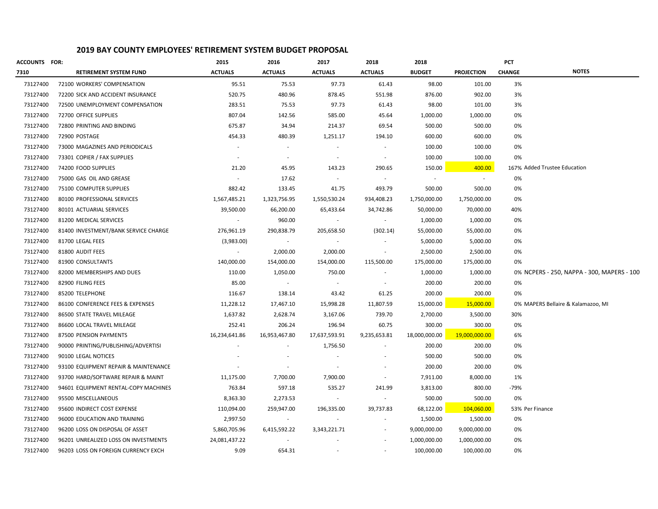| <b>ACCOUNTS FOR:</b> |                                      | 2015                     | 2016                     | 2017           | 2018                     | 2018          |                   | <b>PCT</b>    |                                            |
|----------------------|--------------------------------------|--------------------------|--------------------------|----------------|--------------------------|---------------|-------------------|---------------|--------------------------------------------|
| 7310                 | <b>RETIREMENT SYSTEM FUND</b>        | <b>ACTUALS</b>           | <b>ACTUALS</b>           | <b>ACTUALS</b> | <b>ACTUALS</b>           | <b>BUDGET</b> | <b>PROJECTION</b> | <b>CHANGE</b> | <b>NOTES</b>                               |
| 73127400             | 72100 WORKERS' COMPENSATION          | 95.51                    | 75.53                    | 97.73          | 61.43                    | 98.00         | 101.00            | 3%            |                                            |
| 73127400             | 72200 SICK AND ACCIDENT INSURANCE    | 520.75                   | 480.96                   | 878.45         | 551.98                   | 876.00        | 902.00            | 3%            |                                            |
| 73127400             | 72500 UNEMPLOYMENT COMPENSATION      | 283.51                   | 75.53                    | 97.73          | 61.43                    | 98.00         | 101.00            | 3%            |                                            |
| 73127400             | 72700 OFFICE SUPPLIES                | 807.04                   | 142.56                   | 585.00         | 45.64                    | 1,000.00      | 1,000.00          | 0%            |                                            |
| 73127400             | 72800 PRINTING AND BINDING           | 675.87                   | 34.94                    | 214.37         | 69.54                    | 500.00        | 500.00            | 0%            |                                            |
| 73127400             | 72900 POSTAGE                        | 454.33                   | 480.39                   | 1,251.17       | 194.10                   | 600.00        | 600.00            | 0%            |                                            |
| 73127400             | 73000 MAGAZINES AND PERIODICALS      | $\overline{\phantom{a}}$ | $\sim$                   | ٠              |                          | 100.00        | 100.00            | 0%            |                                            |
| 73127400             | 73301 COPIER / FAX SUPPLIES          |                          |                          |                |                          | 100.00        | 100.00            | 0%            |                                            |
| 73127400             | 74200 FOOD SUPPLIES                  | 21.20                    | 45.95                    | 143.23         | 290.65                   | 150.00        | 400.00            |               | 167% Added Trustee Education               |
| 73127400             | 75000 GAS OIL AND GREASE             | $\sim$                   | 17.62                    | $\sim$         | $\sim$                   | $\sim$        | $\sim$            | 0%            |                                            |
| 73127400             | 75100 COMPUTER SUPPLIES              | 882.42                   | 133.45                   | 41.75          | 493.79                   | 500.00        | 500.00            | 0%            |                                            |
| 73127400             | 80100 PROFESSIONAL SERVICES          | 1,567,485.21             | 1,323,756.95             | 1,550,530.24   | 934,408.23               | 1,750,000.00  | 1,750,000.00      | 0%            |                                            |
| 73127400             | 80101 ACTUARIAL SERVICES             | 39,500.00                | 66,200.00                | 65,433.64      | 34,742.86                | 50,000.00     | 70,000.00         | 40%           |                                            |
| 73127400             | 81200 MEDICAL SERVICES               | $\sim$                   | 960.00                   | $\sim$         | $\sim$                   | 1,000.00      | 1,000.00          | 0%            |                                            |
| 73127400             | 81400 INVESTMENT/BANK SERVICE CHARGE | 276,961.19               | 290,838.79               | 205,658.50     | (302.14)                 | 55,000.00     | 55,000.00         | 0%            |                                            |
| 73127400             | 81700 LEGAL FEES                     | (3,983.00)               | $\sim 100$               | $\sim$         |                          | 5,000.00      | 5,000.00          | 0%            |                                            |
| 73127400             | 81800 AUDIT FEES                     | $\sim$                   | 2,000.00                 | 2,000.00       | $\sim$                   | 2,500.00      | 2,500.00          | 0%            |                                            |
| 73127400             | 81900 CONSULTANTS                    | 140,000.00               | 154,000.00               | 154,000.00     | 115,500.00               | 175,000.00    | 175,000.00        | 0%            |                                            |
| 73127400             | 82000 MEMBERSHIPS AND DUES           | 110.00                   | 1,050.00                 | 750.00         |                          | 1,000.00      | 1,000.00          |               | 0% NCPERS - 250, NAPPA - 300, MAPERS - 100 |
| 73127400             | 82900 FILING FEES                    | 85.00                    |                          |                |                          | 200.00        | 200.00            | 0%            |                                            |
| 73127400             | 85200 TELEPHONE                      | 116.67                   | 138.14                   | 43.42          | 61.25                    | 200.00        | 200.00            | 0%            |                                            |
| 73127400             | 86100 CONFERENCE FEES & EXPENSES     | 11,228.12                | 17,467.10                | 15,998.28      | 11,807.59                | 15,000.00     | 15,000.00         |               | 0% MAPERS Bellaire & Kalamazoo, MI         |
| 73127400             | 86500 STATE TRAVEL MILEAGE           | 1,637.82                 | 2,628.74                 | 3,167.06       | 739.70                   | 2,700.00      | 3,500.00          | 30%           |                                            |
| 73127400             | 86600 LOCAL TRAVEL MILEAGE           | 252.41                   | 206.24                   | 196.94         | 60.75                    | 300.00        | 300.00            | 0%            |                                            |
| 73127400             | 87500 PENSION PAYMENTS               | 16,234,641.86            | 16,953,467.80            | 17,637,593.91  | 9,235,653.81             | 18,000,000.00 | 19,000,000.00     | 6%            |                                            |
| 73127400             | 90000 PRINTING/PUBLISHING/ADVERTISI  | $\overline{\phantom{a}}$ | $\overline{\phantom{a}}$ | 1,756.50       | $\overline{\phantom{a}}$ | 200.00        | 200.00            | 0%            |                                            |
| 73127400             | 90100 LEGAL NOTICES                  |                          |                          |                |                          | 500.00        | 500.00            | 0%            |                                            |
| 73127400             | 93100 EQUIPMENT REPAIR & MAINTENANCE |                          |                          |                |                          | 200.00        | 200.00            | 0%            |                                            |
| 73127400             | 93700 HARD/SOFTWARE REPAIR & MAINT   | 11,175.00                | 7,700.00                 | 7,900.00       |                          | 7,911.00      | 8,000.00          | 1%            |                                            |
| 73127400             | 94601 EQUIPMENT RENTAL-COPY MACHINES | 763.84                   | 597.18                   | 535.27         | 241.99                   | 3,813.00      | 800.00            | -79%          |                                            |
| 73127400             | 95500 MISCELLANEOUS                  | 8,363.30                 | 2,273.53                 |                |                          | 500.00        | 500.00            | 0%            |                                            |
| 73127400             | 95600 INDIRECT COST EXPENSE          | 110,094.00               | 259,947.00               | 196,335.00     | 39,737.83                | 68,122.00     | 104,060.00        |               | 53% Per Finance                            |
| 73127400             | 96000 EDUCATION AND TRAINING         | 2,997.50                 |                          |                |                          | 1,500.00      | 1,500.00          | 0%            |                                            |
| 73127400             | 96200 LOSS ON DISPOSAL OF ASSET      | 5,860,705.96             | 6,415,592.22             | 3,343,221.71   |                          | 9,000,000.00  | 9,000,000.00      | 0%            |                                            |
| 73127400             | 96201 UNREALIZED LOSS ON INVESTMENTS | 24,081,437.22            |                          |                |                          | 1,000,000.00  | 1,000,000.00      | 0%            |                                            |
| 73127400             | 96203 LOSS ON FOREIGN CURRENCY EXCH  | 9.09                     | 654.31                   |                |                          | 100,000.00    | 100,000.00        | 0%            |                                            |